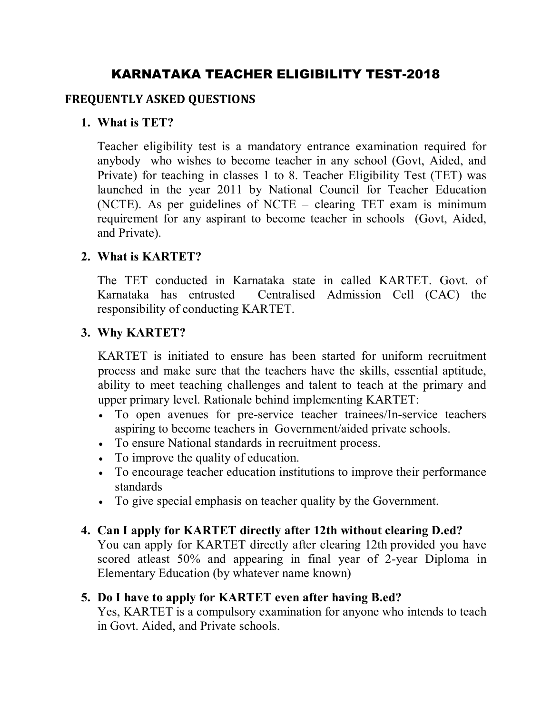# **KARNATAKA TEACHER ELIGIBILITY TEST-2018**

#### **FREQUENTLY ASKED QUESTIONS**

#### **1. What is TET?**

Teacher eligibility test is a mandatory entrance examination required for anybody who wishes to become teacher in any school (Govt, Aided, and Private) for teaching in classes 1 to 8. Teacher Eligibility Test (TET) was launched in the year 2011 by National Council for Teacher Education (NCTE). As per guidelines of NCTE – clearing TET exam is minimum requirement for any aspirant to become teacher in schools (Govt, Aided, and Private).

#### **2. What is KARTET?**

The TET conducted in Karnataka state in called KARTET. Govt. of Karnataka has entrusted Centralised Admission Cell (CAC) the responsibility of conducting KARTET.

#### **3. Why KARTET?**

KARTET is initiated to ensure has been started for uniform recruitment process and make sure that the teachers have the skills, essential aptitude, ability to meet teaching challenges and talent to teach at the primary and upper primary level. Rationale behind implementing KARTET:

- To open avenues for pre-service teacher trainees/In-service teachers aspiring to become teachers in Government/aided private schools.
- To ensure National standards in recruitment process.
- To improve the quality of education.
- To encourage teacher education institutions to improve their performance standards
- To give special emphasis on teacher quality by the Government.

#### **4. Can I apply for KARTET directly after 12th without clearing D.ed?**

You can apply for KARTET directly after clearing 12th provided you have scored atleast 50% and appearing in final year of 2-year Diploma in Elementary Education (by whatever name known)

#### **5. Do I have to apply for KARTET even after having B.ed?**

Yes, KARTET is a compulsory examination for anyone who intends to teach in Govt. Aided, and Private schools.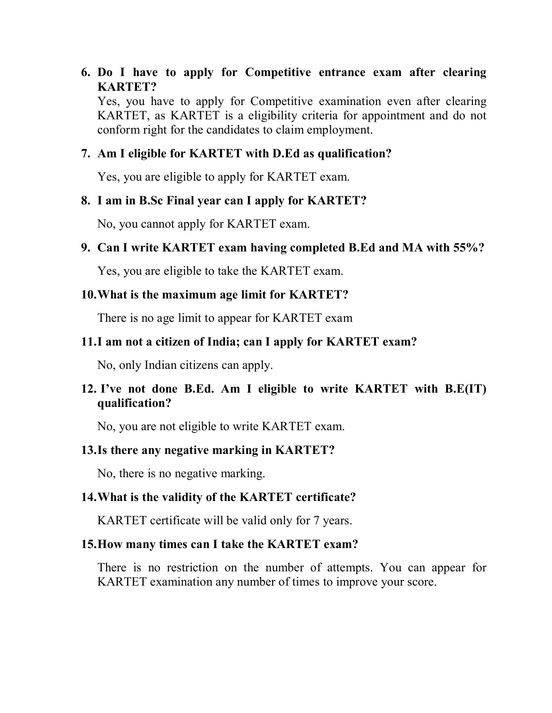### **6. Do I have to apply for Competitive entrance exam after clearing KARTET?**

Yes, you have to apply for Competitive examination even after clearing KARTET, as KARTET is a eligibility criteria for appointment and do not conform right for the candidates to claim employment.

#### **7. Am I eligible for KARTET with D.Ed as qualification?**

Yes, you are eligible to apply for KARTET exam.

#### **8. I am in B.Sc Final year can I apply for KARTET?**

No, you cannot apply for KARTET exam.

#### **9. Can I write KARTET exam having completed B.Ed and MA with 55%?**

Yes, you are eligible to take the KARTET exam.

#### **10.What is the maximum age limit for KARTET?**

There is no age limit to appear for KARTET exam

## **11.I am not a citizen of India; can I apply for KARTET exam?**

No, only Indian citizens can apply.

## **12. I've not done B.Ed. Am I eligible to write KARTET with B.E(IT) qualification?**

No, you are not eligible to write KARTET exam.

#### **13.Is there any negative marking in KARTET?**

No, there is no negative marking.

#### **14.What is the validity of the KARTET certificate?**

KARTET certificate will be valid only for 7 years.

#### **15.How many times can I take the KARTET exam?**

There is no restriction on the number of attempts. You can appear for KARTET examination any number of times to improve your score.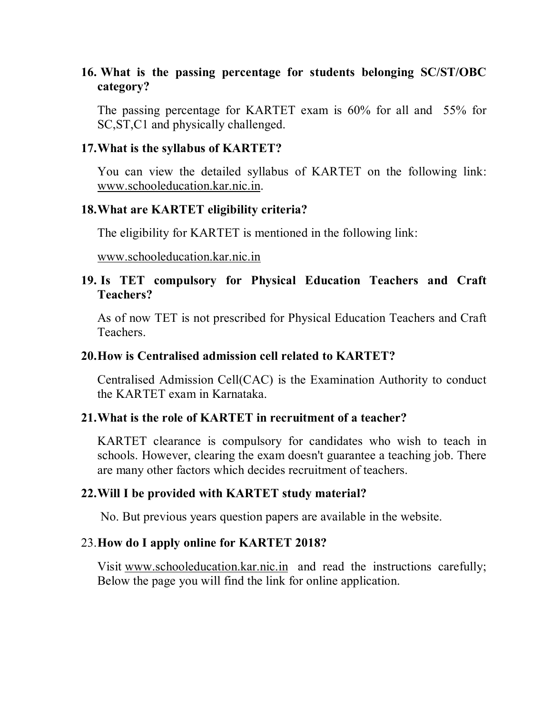### **16. What is the passing percentage for students belonging SC/ST/OBC category?**

The passing percentage for KARTET exam is 60% for all and 55% for SC, ST, C1 and physically challenged.

#### **17.What is the syllabus of KARTET?**

You can view the detailed syllabus of KARTET on the following link: [www.schooleducation.kar.nic.in.](http://www.schooleducation.kar.nic.in.)

### **18.What are KARTET eligibility criteria?**

The eligibility for KARTET is mentioned in the following link:

#### [www.schooleducation.kar.nic.in](http://www.schooleducation.kar.nic.in)

## **19. Is TET compulsory for Physical Education Teachers and Craft Teachers?**

As of now TET is not prescribed for Physical Education Teachers and Craft Teachers.

### **20.How is Centralised admission cell related to KARTET?**

Centralised Admission Cell(CAC) is the Examination Authority to conduct the KARTET exam in Karnataka.

## **21.What is the role of KARTET in recruitment of a teacher?**

KARTET clearance is compulsory for candidates who wish to teach in schools. However, clearing the exam doesn't guarantee a teaching job. There are many other factors which decides recruitment of teachers.

#### **22.Will I be provided with KARTET study material?**

No. But previous years question papers are available in the website.

## 23.**How do I apply online for KARTET 2018?**

Visit [www.schooleducation.kar.nic.in](http://www.schooleducation.kar.nic.in) and read the instructions carefully; Below the page you will find the link for online application.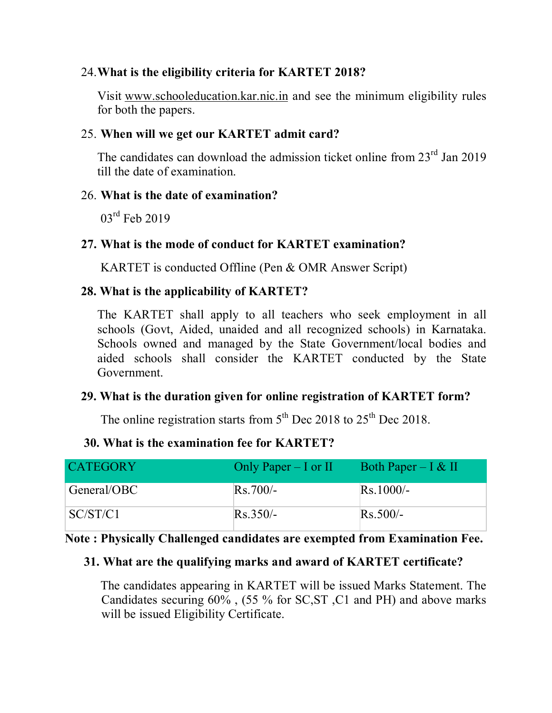### 24.**What is the eligibility criteria for KARTET 2018?**

Visit [www.schooleducation.kar.nic.in](http://www.schooleducation.kar.nic.in) and see the minimum eligibility rules for both the papers.

#### 25. **When will we get our KARTET admit card?**

The candidates can download the admission ticket online from 23<sup>rd</sup> Jan 2019 till the date of examination.

#### 26. **What is the date of examination?**

03<sup>rd</sup> Feb 2019

#### **27. What is the mode of conduct for KARTET examination?**

KARTET is conducted Offline (Pen & OMR Answer Script)

#### **28. What is the applicability of KARTET?**

The KARTET shall apply to all teachers who seek employment in all schools (Govt, Aided, unaided and all recognized schools) in Karnataka. Schools owned and managed by the State Government/local bodies and aided schools shall consider the KARTET conducted by the State Government.

### **29. What is the duration given for online registration of KARTET form?**

The online registration starts from  $5<sup>th</sup>$  Dec 2018 to 25<sup>th</sup> Dec 2018.

#### **30. What is the examination fee for KARTET?**

| <b>CATEGORY</b> | Only Paper $-$ I or II | Both Paper – $\alpha$ II |
|-----------------|------------------------|--------------------------|
| General/OBC     | $Rs.700/-$             | $Rs.1000/-$              |
| SC/ST/C1        | $Rs.350/-$             | $Rs.500/-$               |

#### **Note : Physically Challenged candidates are exempted from Examination Fee.**

#### **31. What are the qualifying marks and award of KARTET certificate?**

The candidates appearing in KARTET will be issued Marks Statement. The Candidates securing 60% , (55 % for SC,ST ,C1 and PH) and above marks will be issued Eligibility Certificate.